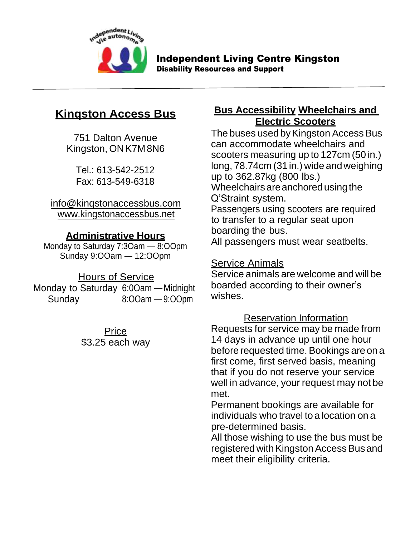

Independent Living Centre Kingston

Disability Resources and Support

# **Kinqston Access Bus**

751 Dalton Avenue Kingston, ONK7M8N6

> Tel.: 613-542-2512 Fax: 613-549-6318

### [info@kinqstonaccessbus.c](mailto:kab@kinqston.net)om [www.kingstona](http://www.kingston/)ccessbus.net

## **Administrative Hours**

Monday to Saturday 7:3Oam — 8:OOpm Sunday 9:OOam — 12:OOpm

## Hours of Service

Monday to Saturday 6:0Oam —Midnight Sunday 8:OOam — 9:OOpm

> Price \$3.25 each way

## **Bus Accessibility Wheelchairs and Electric Scooters**

The buses used by Kingston Access Bus can accommodate wheelchairs and scooters measuring up to 127cm (50 in.) long, 78.74cm (31 in.) wide andweighing up to 362.87kg (800 lbs.) Wheelchairs are anchored using the Q'Straint system. Passengers using scooters are required to transfer to a regular seat upon boarding the bus. All passengers must wear seatbelts.

## Service Animals

Service animals are welcome and will be boarded according to their owner's wishes.

## Reservation Information

Requests for service may be made from 14 days in advance up until one hour before requested time. Bookings are on a first come, first served basis, meaning that if you do not reserve your service well in advance, your request may not be met.

Permanent bookings are available for individuals who travel to a location on a pre-determined basis.

All those wishing to use the bus must be registered with Kingston Access Bus and meet their eligibility criteria.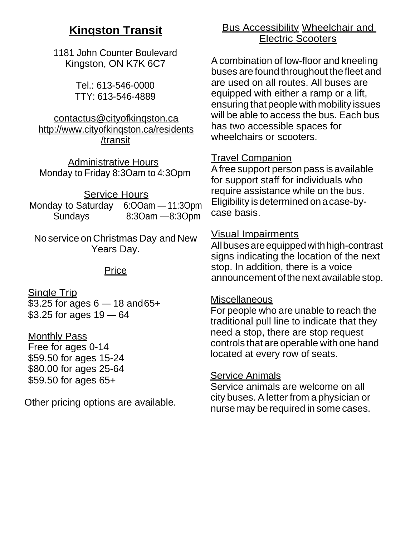# **Kinqston Transit**

1181 John Counter Boulevard Kingston, ON K7K 6C7

> Tel.: 613-546-0000 TTY: 613-546-4889

#### [contactus@cityofkinqston.ca](mailto:contactus@cityofkinqston.ca) <http://www.cityofkinqston.ca/residents> /transit

Administrative Hours Monday to Friday 8:3Oam to 4:3Opm

#### Service Hours

Monday to Saturday 6:OOam — 11:3Opm Sundays 8:3Oam —8:3Opm

No service on Christmas Day and New Years Day.

#### **Price**

Single Trip \$3.25 for ages 6 — 18 and65+ \$3.25 for ages 19 — 64

#### Monthly Pass

Free for ages 0-14 \$59.50 for ages 15-24 \$80.00 for ages 25-64 \$59.50 for ages 65+

Other pricing options are available.

## Bus Accessibility Wheelchair and Electric Scooters

Acombination of low-floor and kneeling buses are found throughout thefleet and are used on all routes. All buses are equipped with either a ramp or a lift, ensuring that people with mobility issues will be able to access the bus. Each bus has two accessible spaces for wheelchairs or scooters.

## Travel Companion

Afree support person pass is available for support staff for individuals who require assistance while on the bus. Eligibility isdetermined onacase-bycase basis.

## Visual Impairments

Allbusesareequipped withhigh-contrast signs indicating the location of the next stop. In addition, there is a voice announcement of the next available stop.

### **Miscellaneous**

For people who are unable to reach the traditional pull line to indicate that they need a stop, there are stop request controls that are operable with one hand located at every row of seats.

## Service Animals

Service animals are welcome on all city buses. A letter from a physician or nurse may be required in some cases.